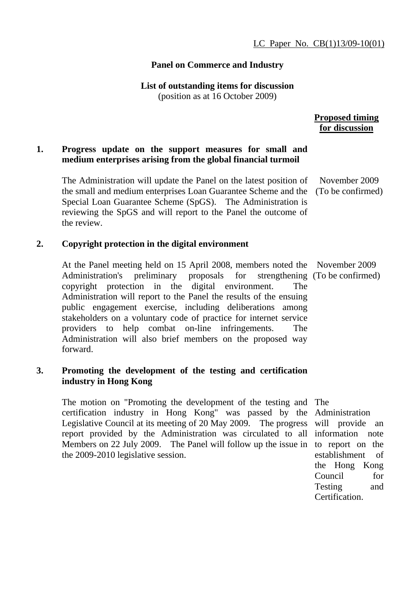#### **Panel on Commerce and Industry**

# **List of outstanding items for discussion**

(position as at 16 October 2009)

 **Proposed timing for discussion**

#### **1. Progress update on the support measures for small and medium enterprises arising from the global financial turmoil**

The Administration will update the Panel on the latest position of the small and medium enterprises Loan Guarantee Scheme and the (To be confirmed) Special Loan Guarantee Scheme (SpGS). The Administration is reviewing the SpGS and will report to the Panel the outcome of the review. November 2009

#### **2. Copyright protection in the digital environment**

At the Panel meeting held on 15 April 2008, members noted the November 2009 Administration's preliminary proposals for copyright protection in the digital environment. The Administration will report to the Panel the results of the ensuing public engagement exercise, including deliberations among stakeholders on a voluntary code of practice for internet service providers to help combat on-line infringements. The Administration will also brief members on the proposed way forward.

#### **3. Promoting the development of the testing and certification industry in Hong Kong**

The motion on "Promoting the development of the testing and The certification industry in Hong Kong" was passed by the Administration Legislative Council at its meeting of 20 May 2009. The progress report provided by the Administration was circulated to all information note Members on 22 July 2009. The Panel will follow up the issue in the 2009-2010 legislative session.

strengthening (To be confirmed)

will provide an to report on the establishment of the Hong Kong Council for Testing and Certification.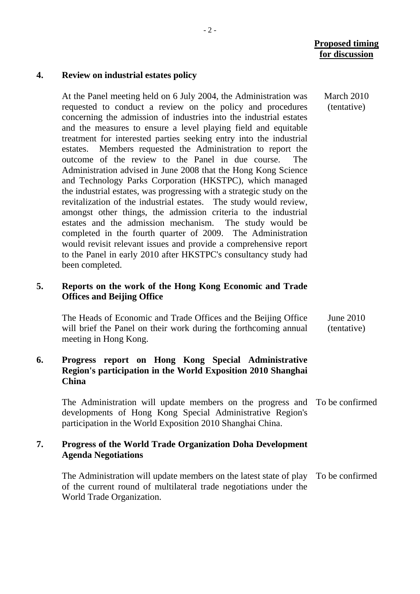#### **Proposed timing for discussion**

March 2010 (tentative)

#### **4. Review on industrial estates policy**

At the Panel meeting held on 6 July 2004, the Administration was requested to conduct a review on the policy and procedures concerning the admission of industries into the industrial estates and the measures to ensure a level playing field and equitable treatment for interested parties seeking entry into the industrial estates. Members requested the Administration to report the outcome of the review to the Panel in due course. The Administration advised in June 2008 that the Hong Kong Science and Technology Parks Corporation (HKSTPC), which managed the industrial estates, was progressing with a strategic study on the revitalization of the industrial estates. The study would review, amongst other things, the admission criteria to the industrial estates and the admission mechanism. The study would be completed in the fourth quarter of 2009. The Administration would revisit relevant issues and provide a comprehensive report to the Panel in early 2010 after HKSTPC's consultancy study had been completed.

#### **5. Reports on the work of the Hong Kong Economic and Trade Offices and Beijing Office**

The Heads of Economic and Trade Offices and the Beijing Office will brief the Panel on their work during the forthcoming annual meeting in Hong Kong. June 2010 (tentative)

# **6. Progress report on Hong Kong Special Administrative Region's participation in the World Exposition 2010 Shanghai China**

The Administration will update members on the progress and To be confirmed developments of Hong Kong Special Administrative Region's participation in the World Exposition 2010 Shanghai China.

#### **7. Progress of the World Trade Organization Doha Development Agenda Negotiations**

The Administration will update members on the latest state of play To be confirmed of the current round of multilateral trade negotiations under the World Trade Organization.